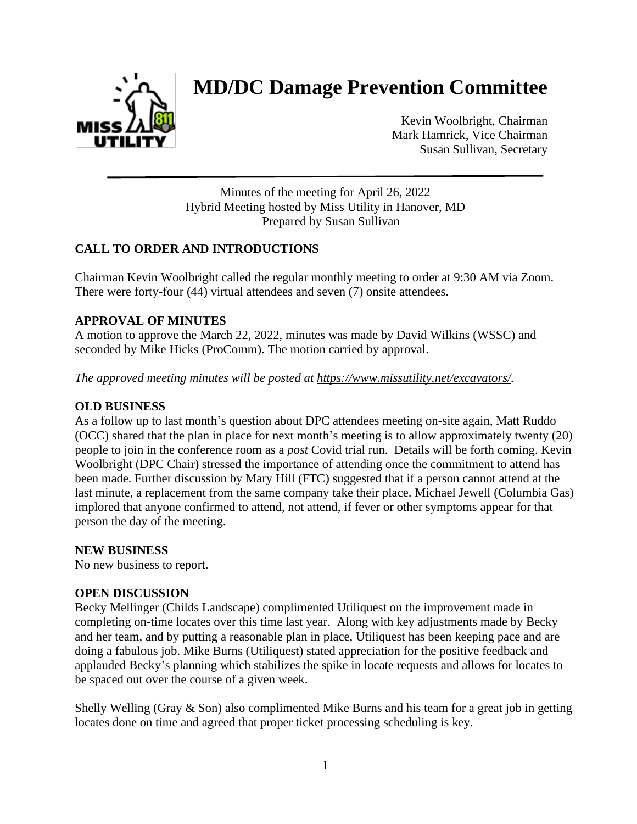

# **MD/DC Damage Prevention Committee**

Kevin Woolbright, Chairman Mark Hamrick, Vice Chairman Susan Sullivan, Secretary

Minutes of the meeting for April 26, 2022 Hybrid Meeting hosted by Miss Utility in Hanover, MD Prepared by Susan Sullivan

# **CALL TO ORDER AND INTRODUCTIONS**

Chairman Kevin Woolbright called the regular monthly meeting to order at 9:30 AM via Zoom. There were forty-four (44) virtual attendees and seven (7) onsite attendees.

# **APPROVAL OF MINUTES**

A motion to approve the March 22, 2022, minutes was made by David Wilkins (WSSC) and seconded by Mike Hicks (ProComm). The motion carried by approval.

*The approved meeting minutes will be posted at [https://www.missutility.net/excavators/.](https://www.missutility.net/excavators/)*

# **OLD BUSINESS**

As a follow up to last month's question about DPC attendees meeting on-site again, Matt Ruddo (OCC) shared that the plan in place for next month's meeting is to allow approximately twenty (20) people to join in the conference room as a *post* Covid trial run. Details will be forth coming. Kevin Woolbright (DPC Chair) stressed the importance of attending once the commitment to attend has been made. Further discussion by Mary Hill (FTC) suggested that if a person cannot attend at the last minute, a replacement from the same company take their place. Michael Jewell (Columbia Gas) implored that anyone confirmed to attend, not attend, if fever or other symptoms appear for that person the day of the meeting.

#### **NEW BUSINESS**

No new business to report.

#### **OPEN DISCUSSION**

Becky Mellinger (Childs Landscape) complimented Utiliquest on the improvement made in completing on-time locates over this time last year. Along with key adjustments made by Becky and her team, and by putting a reasonable plan in place, Utiliquest has been keeping pace and are doing a fabulous job. Mike Burns (Utiliquest) stated appreciation for the positive feedback and applauded Becky's planning which stabilizes the spike in locate requests and allows for locates to be spaced out over the course of a given week.

Shelly Welling (Gray  $\&$  Son) also complimented Mike Burns and his team for a great job in getting locates done on time and agreed that proper ticket processing scheduling is key.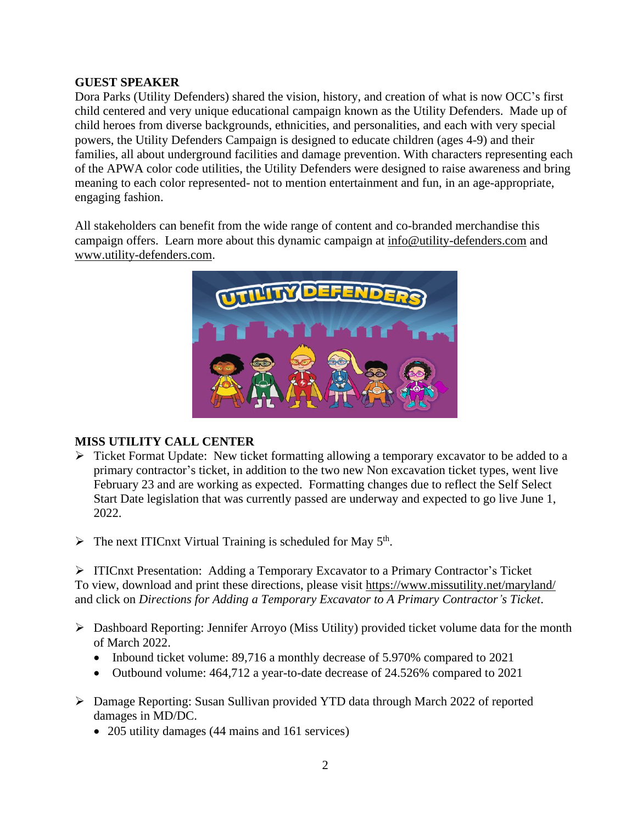### **GUEST SPEAKER**

Dora Parks (Utility Defenders) shared the vision, history, and creation of what is now OCC's first child centered and very unique educational campaign known as the Utility Defenders. Made up of child heroes from diverse backgrounds, ethnicities, and personalities, and each with very special powers, the Utility Defenders Campaign is designed to educate children (ages 4-9) and their families, all about underground facilities and damage prevention. With characters representing each of the APWA color code utilities, the Utility Defenders were designed to raise awareness and bring meaning to each color represented- not to mention entertainment and fun, in an age-appropriate, engaging fashion.

All stakeholders can benefit from the wide range of content and co-branded merchandise this campaign offers. Learn more about this dynamic campaign at [info@utility-defenders.com](mailto:info@utility-defenders.com) and [www.utility-defenders.com.](http://www.utility-defenders.com/)



# **MISS UTILITY CALL CENTER**

- ➢ Ticket Format Update: New ticket formatting allowing a temporary excavator to be added to a primary contractor's ticket, in addition to the two new Non excavation ticket types, went live February 23 and are working as expected. Formatting changes due to reflect the Self Select Start Date legislation that was currently passed are underway and expected to go live June 1, 2022.
- $\triangleright$  The next ITICnxt Virtual Training is scheduled for May 5<sup>th</sup>.

➢ ITICnxt Presentation: Adding a Temporary Excavator to a Primary Contractor's Ticket To view, download and print these directions, please visit <https://www.missutility.net/maryland/> and click on *Directions for Adding a Temporary Excavator to A Primary Contractor's Ticket*.

- ➢ Dashboard Reporting: Jennifer Arroyo (Miss Utility) provided ticket volume data for the month of March 2022.
	- Inbound ticket volume: 89,716 a monthly decrease of 5.970% compared to 2021
	- Outbound volume: 464,712 a year-to-date decrease of 24.526% compared to 2021
- ➢ Damage Reporting: Susan Sullivan provided YTD data through March 2022 of reported damages in MD/DC.
	- 205 utility damages (44 mains and 161 services)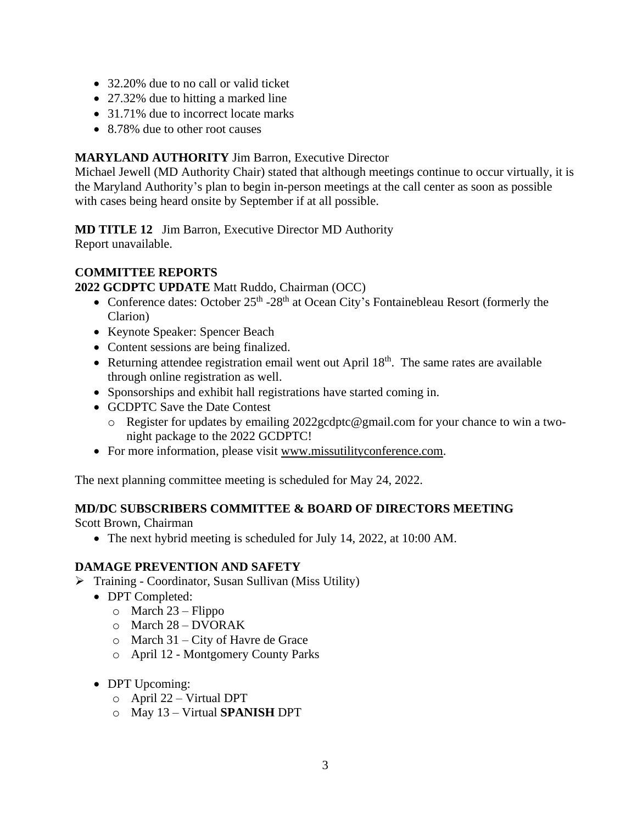- 32.20% due to no call or valid ticket
- 27.32% due to hitting a marked line
- 31.71% due to incorrect locate marks
- 8.78% due to other root causes

## **MARYLAND AUTHORITY** Jim Barron, Executive Director

Michael Jewell (MD Authority Chair) stated that although meetings continue to occur virtually, it is the Maryland Authority's plan to begin in-person meetings at the call center as soon as possible with cases being heard onsite by September if at all possible.

**MD TITLE 12** Jim Barron, Executive Director MD Authority Report unavailable.

## **COMMITTEE REPORTS**

**2022 GCDPTC UPDATE** Matt Ruddo, Chairman (OCC)

- Conference dates: October 25<sup>th</sup> -28<sup>th</sup> at Ocean City's Fontainebleau Resort (formerly the Clarion)
- Keynote Speaker: Spencer Beach
- Content sessions are being finalized.
- Returning attendee registration email went out April  $18<sup>th</sup>$ . The same rates are available through online registration as well.
- Sponsorships and exhibit hall registrations have started coming in.
- GCDPTC Save the Date Contest
	- o Register for updates by emailing 2022gcdptc@gmail.com for your chance to win a twonight package to the 2022 GCDPTC!
- For more information, please visit [www.missutilityconference.com.](http://www.missutilityconference.com/)

The next planning committee meeting is scheduled for May 24, 2022.

#### **MD/DC SUBSCRIBERS COMMITTEE & BOARD OF DIRECTORS MEETING**

Scott Brown, Chairman

• The next hybrid meeting is scheduled for July 14, 2022, at 10:00 AM.

#### **DAMAGE PREVENTION AND SAFETY**

- ➢ Training Coordinator, Susan Sullivan (Miss Utility)
	- DPT Completed:
		- $\circ$  March 23 Flippo
		- o March 28 DVORAK
		- o March 31 City of Havre de Grace
		- o April 12 Montgomery County Parks
	- DPT Upcoming:
		- o April 22 Virtual DPT
		- o May 13 Virtual **SPANISH** DPT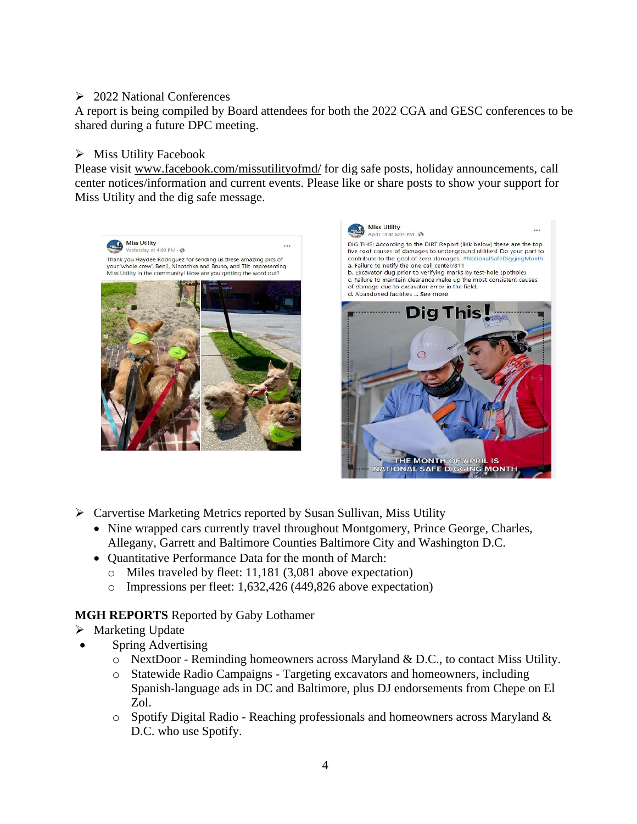# ➢ 2022 National Conferences

A report is being compiled by Board attendees for both the 2022 CGA and GESC conferences to be shared during a future DPC meeting.

## ➢ Miss Utility Facebook

Please visit [www.facebook.com/missutilityofmd/](http://www.facebook.com/missutilityofmd/) for dig safe posts, holiday announcements, call center notices/information and current events. Please like or share posts to show your support for Miss Utility and the dig safe message.





- ➢ Carvertise Marketing Metrics reported by Susan Sullivan, Miss Utility
	- Nine wrapped cars currently travel throughout Montgomery, Prince George, Charles, Allegany, Garrett and Baltimore Counties Baltimore City and Washington D.C.
	- Quantitative Performance Data for the month of March:
		- o Miles traveled by fleet: 11,181 (3,081 above expectation)
		- o Impressions per fleet: 1,632,426 (449,826 above expectation)

# **MGH REPORTS** Reported by Gaby Lothamer

- ➢ Marketing Update
	- Spring Advertising
		- $\circ$  NextDoor Reminding homeowners across Maryland & D.C., to contact Miss Utility.
		- o Statewide Radio Campaigns Targeting excavators and homeowners, including Spanish-language ads in DC and Baltimore, plus DJ endorsements from Chepe on El Zol.
		- o Spotify Digital Radio Reaching professionals and homeowners across Maryland & D.C. who use Spotify.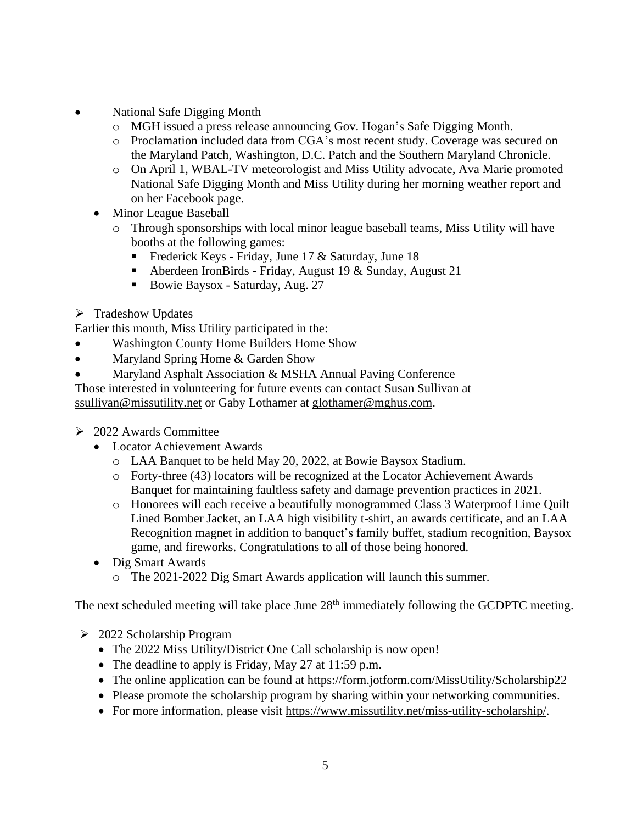- National Safe Digging Month
	- o MGH issued a press release announcing Gov. Hogan's Safe Digging Month.
	- o Proclamation included data from CGA's most recent study. Coverage was secured on the Maryland Patch, Washington, D.C. Patch and the Southern Maryland Chronicle.
	- o On April 1, WBAL-TV meteorologist and Miss Utility advocate, Ava Marie promoted National Safe Digging Month and Miss Utility during her morning weather report and on her Facebook page.
	- Minor League Baseball
		- o Through sponsorships with local minor league baseball teams, Miss Utility will have booths at the following games:
			- **•** Frederick Keys Friday, June 17 & Saturday, June 18
			- Aberdeen IronBirds Friday, August 19 & Sunday, August 21
			- Bowie Baysox Saturday, Aug. 27
- ➢ Tradeshow Updates

Earlier this month, Miss Utility participated in the:

- Washington County Home Builders Home Show
- Maryland Spring Home & Garden Show
- Maryland Asphalt Association & MSHA Annual Paving Conference

Those interested in volunteering for future events can contact Susan Sullivan at [ssullivan@missutility.net](mailto:ssullivan@missutility.net) or Gaby Lothamer at [glothamer@mghus.com.](mailto:glothamer@mghus.com)

- $\geq 2022$  Awards Committee
	- Locator Achievement Awards
		- o LAA Banquet to be held May 20, 2022, at Bowie Baysox Stadium.
		- o Forty-three (43) locators will be recognized at the Locator Achievement Awards Banquet for maintaining faultless safety and damage prevention practices in 2021.
		- o Honorees will each receive a beautifully monogrammed Class 3 Waterproof Lime Quilt Lined Bomber Jacket, an LAA high visibility t-shirt, an awards certificate, and an LAA Recognition magnet in addition to banquet's family buffet, stadium recognition, Baysox game, and fireworks. Congratulations to all of those being honored.
	- Dig Smart Awards
		- o The 2021-2022 Dig Smart Awards application will launch this summer.

The next scheduled meeting will take place June 28<sup>th</sup> immediately following the GCDPTC meeting.

- ➢ 2022 Scholarship Program
	- The 2022 Miss Utility/District One Call scholarship is now open!
	- The deadline to apply is Friday, May 27 at 11:59 p.m.
	- The online application can be found at <https://form.jotform.com/MissUtility/Scholarship22>
	- Please promote the scholarship program by sharing within your networking communities.
	- For more information, please visit [https://www.missutility.net/miss-utility-scholarship/.](https://www.missutility.net/miss-utility-scholarship/)